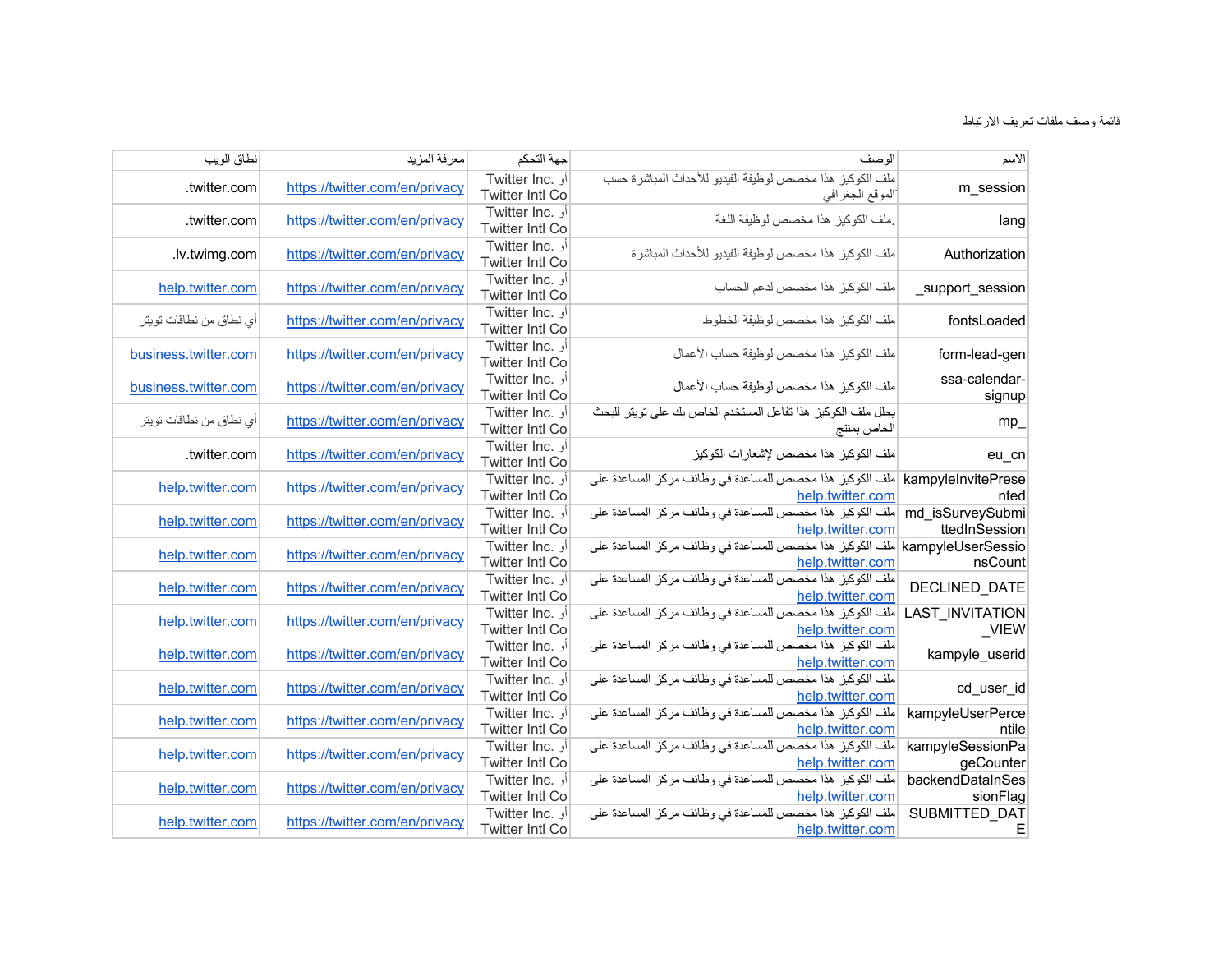| الاسم                             | الو صف                                                                                           | جهة التحكم                                | معرفة المزيد                   | نطاق الويب              |
|-----------------------------------|--------------------------------------------------------------------------------------------------|-------------------------------------------|--------------------------------|-------------------------|
| m_session                         | ملف الكوكيز هذا مخصص لوظيفة الفيديو للأحداث المباشرة حسب<br>الموقع الجغرافي                      | أو .Twitter Inc<br><b>Twitter Intl Co</b> | https://twitter.com/en/privacy | .twitter.com            |
| lang                              | ملف الكوكيز هذا مخصص لوظيفة اللغة                                                                | أو .Twitter Inc<br><b>Twitter Intl Co</b> | https://twitter.com/en/privacy | .twitter.com            |
| Authorization                     | ملف الكوكيز هذا مخصص لوظيفة الفيديو للأحداث المباشرة                                             | Twitter Inc. أو<br><b>Twitter Intl Co</b> | https://twitter.com/en/privacy | .lv.twimg.com           |
| _support_session                  | ملف الكوكيز هذا مخصص لدعم الحساب                                                                 | Twitter Inc. أو<br><b>Twitter Intl Co</b> | https://twitter.com/en/privacy | help.twitter.com        |
| fontsLoaded                       | ملف الكوكيز هذا مخصص لوظيفة الخطوط                                                               | أو .Twitter Inc<br><b>Twitter Intl Co</b> | https://twitter.com/en/privacy | أي نطاق من نطاقات تويتر |
| form-lead-gen                     | ملف الكوكيز هذا مخصص لوظيفة حساب الأعمال                                                         | Twitter Inc. أو<br><b>Twitter Intl Co</b> | https://twitter.com/en/privacy | business.twitter.com    |
| ssa-calendar-<br>signup           | ملف الكوكيز  هذا مخصص لوظيفة حساب الأعمال                                                        | أو .Twitter Inc<br><b>Twitter Intl Co</b> | https://twitter.com/en/privacy | business.twitter.com    |
| $mp_$                             | يحلل ملف الكوكيز. هذا تفاعل المستخدم الخاص بك على تويتر للبحث<br>الخاص بمنتج                     | أو .Twitter Inc<br><b>Twitter Intl Co</b> | https://twitter.com/en/privacy | أي نطاق من نطاقات تويتر |
| eu_cn                             | ملف الكوكيز  هذا مخصص لإشعار ات الكوكيز                                                          | Twitter Inc. أو<br>Twitter Intl Co        | https://twitter.com/en/privacy | .twitter.com            |
| nted                              | kampylelnvitePrese  ملف الكوكيز هذا مخصص للمساعدة في وظائف مركز المساعدة على<br>help.twitter.com | أو .Twitter Inc<br><b>Twitter Intl Co</b> | https://twitter.com/en/privacy | help.twitter.com        |
| md isSurveySubmi<br>ttedInSession | ملف الكوكيز هذا مخصص للمساعدة في وظائف مركز المساعدة على<br>help.twitter.com                     | أو .Twitter Inc<br><b>Twitter Intl Co</b> | https://twitter.com/en/privacy | help.twitter.com        |
| nsCount                           | kampyleUserSessio  ملف الكوكيز هذا مخصص للمساعدة في وظائف مركز المساعدة على<br>help.twitter.com  | أو .Twitter Inc<br>Twitter Intl Co        | https://twitter.com/en/privacy | help.twitter.com        |
| DECLINED DATE                     | ملف الكوكيز هذا مخصص للمساعدة في وظائف مركز المساعدة على<br>help.twitter.com                     | Twitter Inc. أو<br><b>Twitter Intl Co</b> | https://twitter.com/en/privacy | help.twitter.com        |
| LAST_INVITATION<br><b>VIEW</b>    | ملف الكوكيز هذا مخصص للمساعدة في وظائف مركز المساعدة على<br>help.twitter.com                     | أو .Twitter Inc<br><b>Twitter Intl Co</b> | https://twitter.com/en/privacy | help.twitter.com        |
| kampyle_userid                    | ملف الكوكيز هذا مخصص للمساعدة في وظائف مركز المساعدة على<br>help.twitter.com                     | أو .Twitter Inc<br>Twitter Intl Co        | https://twitter.com/en/privacy | help.twitter.com        |
| cd_user_id                        | ملف الكوكيز هذا مخصص للمساعدة في وظائف مركز المساعدة على<br>help.twitter.com                     | أو .Twitter Inc<br><b>Twitter Intl Co</b> | https://twitter.com/en/privacy | help.twitter.com        |
| kampyleUserPerce<br>ntile         | ملف الكوكيز هذا مخصص للمساعدة في وظائف مركز المساعدة على<br>help.twitter.com                     | أو .Twitter Inc<br>Twitter Intl Co        | https://twitter.com/en/privacy | help.twitter.com        |
| kampyleSessionPa<br>geCounter     | ملف الكوكيز هذا مخصص للمساعدة في وظائف مركز المساعدة على<br>help.twitter.com                     | أو .Twitter Inc<br>Twitter Intl Co        | https://twitter.com/en/privacy | help.twitter.com        |
| backendDataInSes<br>sionFlag      | ملف الكوكيز هذا مخصص للمساعدة في وظائف مركز المساعدة على<br>help.twitter.com                     | أو .Twitter Inc<br><b>Twitter Intl Co</b> | https://twitter.com/en/privacy | help.twitter.com        |
| SUBMITTED_DAT<br>Е                | ملف الكوكيز هذا مخصص للمساعدة في وظائف مركز المساعدة على<br>help.twitter.com                     | أو .Twitter Inc<br><b>Twitter Intl Co</b> | https://twitter.com/en/privacy | help.twitter.com        |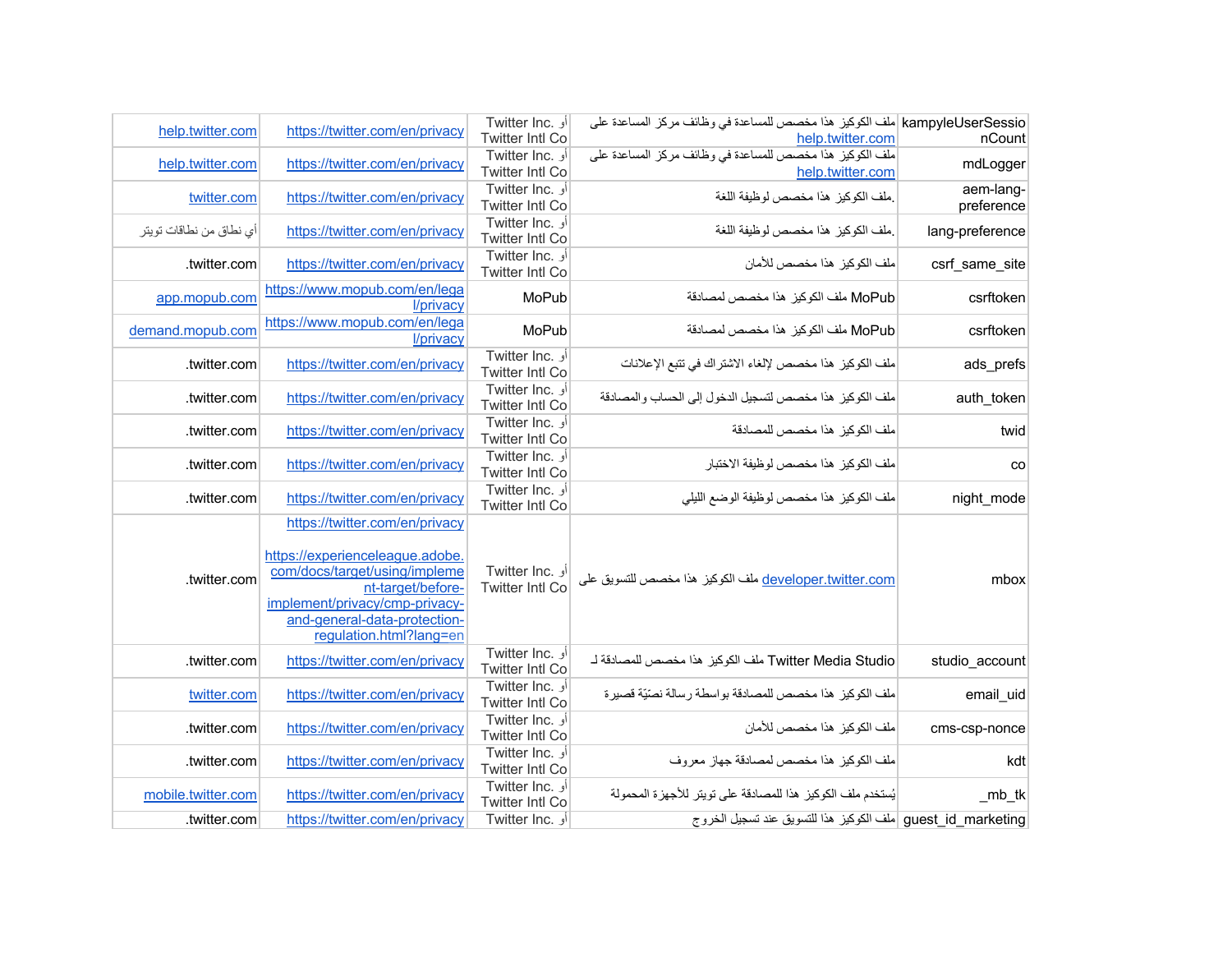| help.twitter.com        | https://twitter.com/en/privacy                                                                                                                                                                                       | <b>Twitter Inc.</b> أو<br>Twitter Intl Co | kampyleUserSessio  ملف الكوكيز  هذا مخصص للمساعدة في وظائف مركز  المساعدة على<br>help.twitter.com | nCount                  |
|-------------------------|----------------------------------------------------------------------------------------------------------------------------------------------------------------------------------------------------------------------|-------------------------------------------|---------------------------------------------------------------------------------------------------|-------------------------|
| help.twitter.com        | https://twitter.com/en/privacy                                                                                                                                                                                       | أو .Twitter Inc<br><b>Twitter Intl Co</b> | .<br>ملف الكوكيز  هذا مخصص للمساعدة في وظائف مركز المساعدة على<br>help.twitter.com                | mdLogger                |
| twitter.com             | https://twitter.com/en/privacy                                                                                                                                                                                       | أو .Twitter Inc<br><b>Twitter Intl Co</b> | ملف الكوكيز  هذا مخصص لوظيفة اللغة                                                                | aem-lang-<br>preference |
| أي نطاق من نطاقات تويتر | https://twitter.com/en/privacy                                                                                                                                                                                       | Twitter Inc. أو<br><b>Twitter Intl Co</b> | ملف الكوكيز هذا مخصص لوظيفة اللغة                                                                 | lang-preference         |
| .twitter.com            | https://twitter.com/en/privacy                                                                                                                                                                                       | أو .Twitter Inc<br><b>Twitter Intl Co</b> | ملف الكوكيز هذا مخصص للأمان                                                                       | csrf_same_site          |
| app.mopub.com           | https://www.mopub.com/en/lega<br>l/privacy                                                                                                                                                                           | MoPub                                     | MoPub ملف الكوكيز هذا مخصص لمصادقة                                                                | csrftoken               |
| demand.mopub.com        | https://www.mopub.com/en/lega<br>l/privacy                                                                                                                                                                           | MoPub                                     | MoPub ملف الكوكيز هذا مخصص لمصادقة                                                                | csrftoken               |
| .twitter.com            | https://twitter.com/en/privacy                                                                                                                                                                                       | Twitter Inc. أو<br><b>Twitter Intl Co</b> | ملف الكوكيز  هذا مخصص لإلغاء الاشتر اك في تتبع الإعلانات                                          | ads prefs               |
| .twitter.com            | https://twitter.com/en/privacy                                                                                                                                                                                       | Twitter Inc. أو<br><b>Twitter Intl Co</b> | ملف الكوكيز هذا مخصص لتسجيل الدخول إلى الحساب والمصادقة                                           | auth_token              |
| .twitter.com            | https://twitter.com/en/privacy                                                                                                                                                                                       | Twitter Inc. أو<br><b>Twitter Intl Co</b> | ملف الكوكيز  هذا مخصص للمصادقة                                                                    | twid                    |
| .twitter.com            | https://twitter.com/en/privacy                                                                                                                                                                                       | Twitter Inc. أو<br><b>Twitter Intl Co</b> | ملف الكوكيز  هذا مخصص لوظيفة الاختبار                                                             | CO                      |
| .twitter.com            | https://twitter.com/en/privacy                                                                                                                                                                                       | Twitter Inc. أو<br><b>Twitter Intl Co</b> | ملف الكوكيز هذا مخصص لوظيفة الوضع الليلمي                                                         | night_mode              |
| .twitter.com            | https://twitter.com/en/privacy<br>https://experienceleague.adobe.<br>com/docs/target/using/impleme<br>nt-target/before-<br>implement/privacy/cmp-privacy-<br>and-general-data-protection-<br>regulation.html?lang=en | Twitter Inc. أو<br><b>Twitter Intl Co</b> | developer.twitter.com ملف الكوكيز هذا مخصص للتسويق على                                            | mbox                    |
| .twitter.com            | https://twitter.com/en/privacy                                                                                                                                                                                       | Twitter Inc. أو<br><b>Twitter Intl Co</b> | Twitter Media Studio ملف الكوكيز هذا مخصص للمصادقة لـ                                             | studio_account          |
| twitter.com             | https://twitter.com/en/privacy                                                                                                                                                                                       | أو .Twitter Inc<br><b>Twitter Intl Co</b> | ملف الكوكيز  هذا مخصص للمصادقة بو اسطة ر سالة نصّيّة قصير ة                                       | email uid               |
| .twitter.com            | https://twitter.com/en/privacy                                                                                                                                                                                       | أو Twitter Inc.<br>Twitter Intl Co        | ملف الكوكيز هذا مخصص للأمان                                                                       | cms-csp-nonce           |
| .twitter.com            | https://twitter.com/en/privacy                                                                                                                                                                                       | Twitter Inc. أو<br><b>Twitter Intl Co</b> | ملف الكوكيز هذا مخصص لمصادقة جهاز معروف                                                           | kdt                     |
| mobile.twitter.com      | https://twitter.com/en/privacy                                                                                                                                                                                       | أو .Twitter Inc<br><b>Twitter Intl Co</b> | يُستخدم ملف الكوكيز هذا للمصادقة على تويتر للأجهزة المحمولة                                       | $mb_t$                  |
| .twitter.com            | https://twitter.com/en/privacy                                                                                                                                                                                       | Twitter Inc. أو                           | guest id marketing ملف الكوكيز هذا للتسويق عند تسجيل الخروج                                       |                         |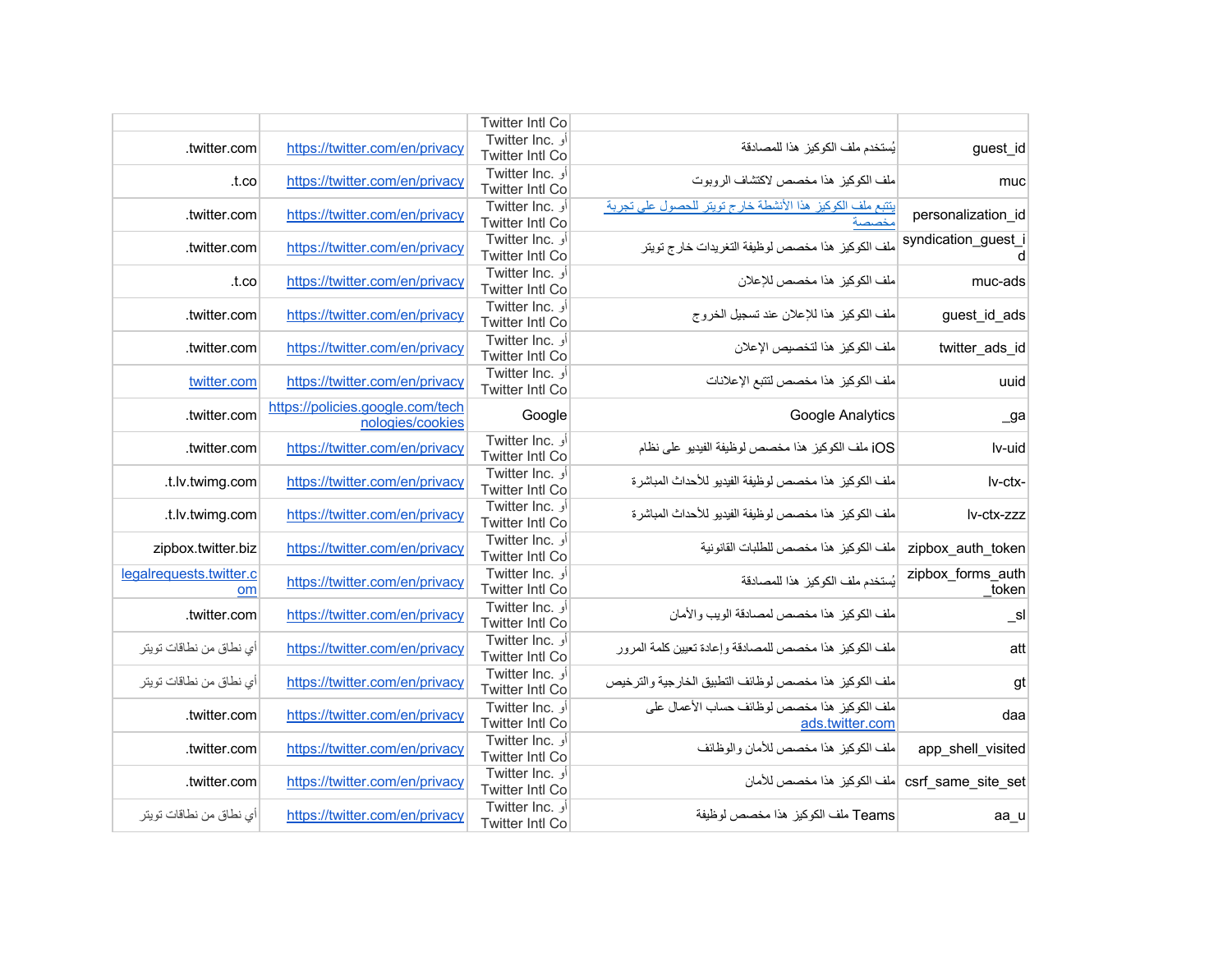|                     |                                                                   | Twitter Intl Co                           |                                  |                         |
|---------------------|-------------------------------------------------------------------|-------------------------------------------|----------------------------------|-------------------------|
| guest_id            | يُستخدم ملف الكوكيز هذا للمصادقة                                  | أو .Twitter Inc                           | https://twitter.com/en/privacy   | .twitter.com            |
|                     |                                                                   | <b>Twitter Intl Co</b>                    |                                  |                         |
| muc                 | ملف الكوكيز هذا مخصص لاكتشاف الروبوت                              | أو Twitter Inc.<br><b>Twitter Intl Co</b> | https://twitter.com/en/privacy   | .t.co                   |
| personalization id  | يتتبع مك الكوكيز هذا الأنشطة خارج تويتر للحصول على تجربة<br>مخصصة | أو .Twitter Inc                           | https://twitter.com/en/privacy   | .twitter.com            |
|                     |                                                                   | <b>Twitter Intl Co</b>                    |                                  |                         |
| syndication_guest_i | ملف الكوكيز  هذا مخصص لوظيفة التغريدات خارج تويتر                 | Twitter Inc. أو                           | https://twitter.com/en/privacy   | .twitter.com            |
| d                   |                                                                   | <b>Twitter Intl Co</b>                    |                                  |                         |
| muc-ads             | ملف الكوكيز هذا مخصص للإعلان                                      | Twitter Inc. أو<br><b>Twitter Intl Co</b> | https://twitter.com/en/privacy   | .t.co                   |
|                     |                                                                   | Twitter Inc. أو                           |                                  |                         |
| guest_id_ads        | ملف الكوكيز هذا للإعلان عند تسجيل الخروج                          | <b>Twitter Intl Co</b>                    | https://twitter.com/en/privacy   | .twitter.com            |
|                     |                                                                   | أو .Twitter Inc                           |                                  |                         |
| twitter ads id      | ملف الكوكيز  هذا لتخصيص الإعلان                                   | Twitter Intl Co                           | https://twitter.com/en/privacy   | twitter.com.            |
| uuid                | ملف الكوكيز هذا مخصص لتتبع الإعلانات                              | Twitter Inc. أو                           | https://twitter.com/en/privacy   | twitter.com             |
|                     |                                                                   | Twitter Intl Co                           |                                  |                         |
| $\sqrt{2}$ ga       | Google Analytics                                                  | Google                                    | https://policies.google.com/tech | .twitter.com            |
|                     |                                                                   |                                           | nologies/cookies                 |                         |
| lv-uid              | iOS ملف الكوكيز هذا مخصص لوظيفة الفيديو على نظام                  | Twitter Inc. أو<br><b>Twitter Intl Co</b> | https://twitter.com/en/privacy   | .twitter.com            |
|                     |                                                                   | أو .Twitter Inc                           |                                  |                         |
| Iv-ctx-             | ملف الكوكيز -هذا مخصص لوظيفة الفيديو اللأحداث المباشر ة           | <b>Twitter Intl Co</b>                    | https://twitter.com/en/privacy   | t.lv.twimg.com.         |
|                     | ملف الكوكيز  هذا مخصص لوظيفة الفيديو  للأحداث المباشر ة           | أو .Twitter Inc                           |                                  |                         |
| lv-ctx-zzz          |                                                                   | Twitter Intl Co                           | https://twitter.com/en/privacy   | .t.lv.twimg.com         |
| zipbox auth token   | ملف الكوكيز هذا مخصص للطلبات القانونية                            | Twitter Inc. أو                           | https://twitter.com/en/privacy   | zipbox.twitter.biz      |
|                     |                                                                   | <b>Twitter Intl Co</b>                    |                                  |                         |
| zipbox forms auth   | يُستخدم ملف الكوكيز هذا للمصادقة                                  | أو Twitter Inc.                           | https://twitter.com/en/privacy   | legalrequests.twitter.c |
| token               |                                                                   | Twitter Intl Co                           |                                  | om                      |
| $\_$ sl             | ملف الكوكيز  هذا مخصص لمصادقة الويب و الأمان                      | أو .Twitter Inc<br><b>Twitter Intl Co</b> | https://twitter.com/en/privacy   | .twitter.com            |
|                     |                                                                   | أو .Twitter Inc                           |                                  |                         |
| att                 | ملف الكوكيز  هذا مخصص للمصادقة وإعادة تعيين كلمة المرور           | <b>Twitter Intl Co</b>                    | https://twitter.com/en/privacy   | أي نطاق من نطاقات تويتر |
|                     | ملف الكوكيز هذا مخصص لوظائف التطبيق الخارجية والترخيص             | Twitter Inc. أو                           | https://twitter.com/en/privacy   | أي نطاق من نطاقات تويتر |
| gt                  |                                                                   | <b>Twitter Intl Co</b>                    |                                  |                         |
| daa                 | ملف الكوكيز هذا مخصص لوظائف حساب الأعمال على                      | Twitter Inc. أو                           | https://twitter.com/en/privacy   | .twitter.com            |
|                     | ads.twitter.com                                                   | <b>Twitter Intl Co</b>                    |                                  |                         |
| app_shell_visited   | ملف الكوكيز هذا مخصص للأمان والوظائف                              | Twitter Inc. أو<br>Twitter Intl Co        | https://twitter.com/en/privacy   | twitter.com.            |
|                     |                                                                   | Twitter Inc. أو                           |                                  |                         |
|                     | csrf_same_site_set  ملف الكوكيز هذا مخصص للأمان                   | Twitter Intl Co                           | https://twitter.com/en/privacy   | .twitter.com            |
|                     |                                                                   | Twitter Inc. أو                           |                                  |                         |
| aa_u                | Teams ملف الكوكيز هذا مخصص لوظيفة                                 | <b>Twitter Intl Co</b>                    | https://twitter.com/en/privacy   | أي نطاق من نطاقات تويتر |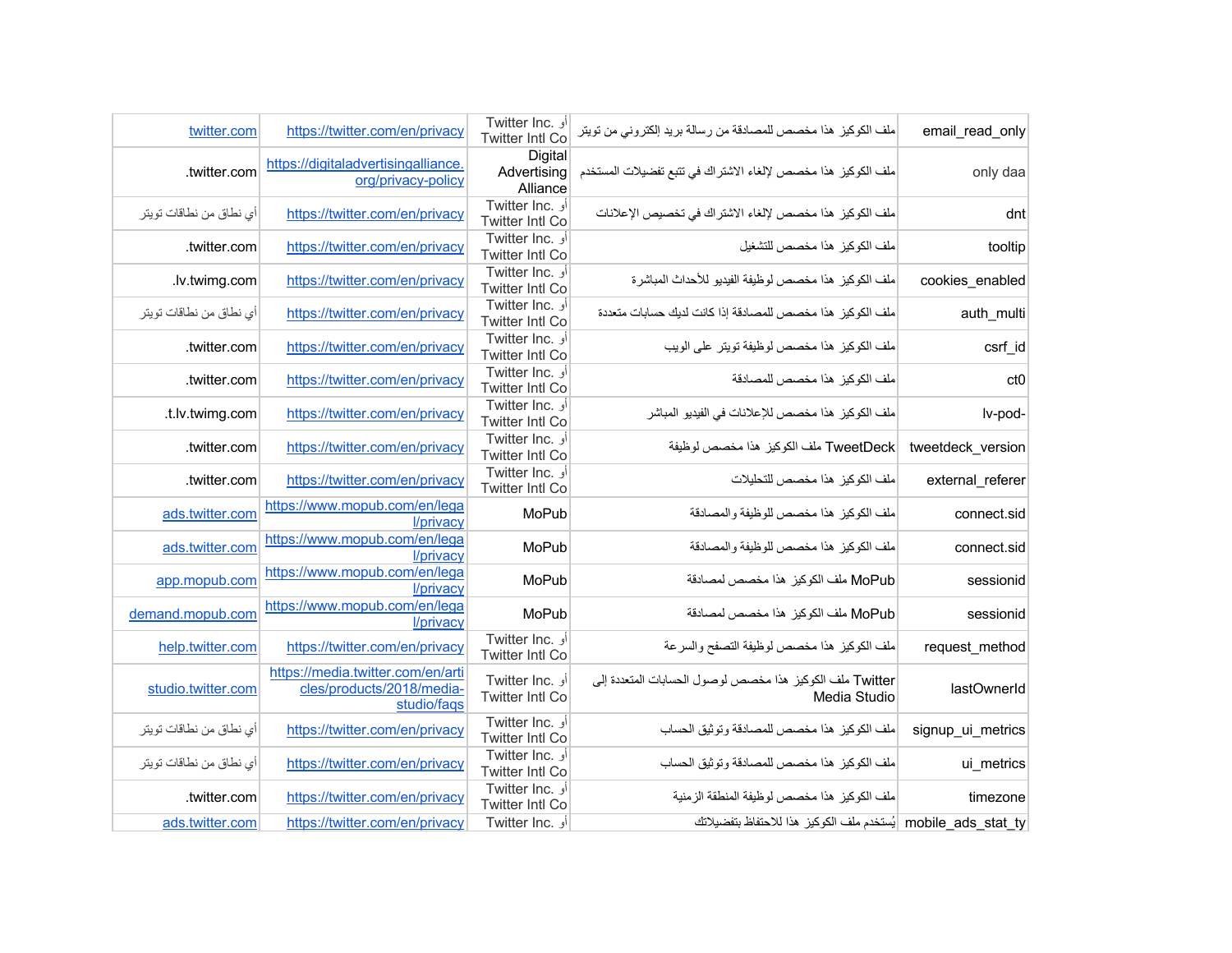| email_read_only   | ملف الكوكيز  هذا مخصص للمصادقة من رسالة بريد إلكتروني من تويتر           | أو .Twitter Inc<br><b>Twitter Intl Co</b> | https://twitter.com/en/privacy                                                | twitter.com             |
|-------------------|--------------------------------------------------------------------------|-------------------------------------------|-------------------------------------------------------------------------------|-------------------------|
| only daa          | ملف الكوكيز. هذا مخصص لإلغاء الاشتر اك في تتبع تفضيلات المستخدم          | Digital<br>Advertising<br>Alliance        | https://digitaladvertisingalliance.<br>org/privacy-policy                     | .twitter.com            |
| dnt               | ملف الكوكيز  هذا مخصص لإلغاء الاشتر اك في تخصيص الإعلانات                | Twitter Inc. أو<br><b>Twitter Intl Co</b> | https://twitter.com/en/privacy                                                | أي نطاق من نطاقات تويتر |
| tooltip           | ملف الكوكيز هذا مخصص للتشغيل                                             | أو .Twitter Inc<br>Twitter Intl Co        | https://twitter.com/en/privacy                                                | .twitter.com            |
| cookies enabled   | ملف الكوكيز هذا مخصص لوظيفة الفيديو للأحداث المباشرة                     | أو .Twitter Inc<br><b>Twitter Intl Co</b> | https://twitter.com/en/privacy                                                | .lv.twimg.com           |
| auth_multi        | ملف الكوكيز هذا مخصص للمصادقة إذا كانت لديك حسابات متعددة                | أو .Twitter Inc<br><b>Twitter Intl Co</b> | https://twitter.com/en/privacy                                                | أي نطاق من نطاقات تويتر |
| csrf_id           | ملف الكوكيز هذا مخصص لوظيفة تويتر على الويب                              | Twitter Inc. أو<br><b>Twitter Intl Co</b> | https://twitter.com/en/privacy                                                | .twitter.com            |
| ct <sub>0</sub>   | ملف الكوكيز هذا مخصص للمصادقة                                            | Twitter Inc. أو<br><b>Twitter Intl Co</b> | https://twitter.com/en/privacy                                                | .twitter.com            |
| lv-pod-           | ملف الكوكيز  هذا مخصص للإعلانات في الفيديو  المباشر                      | أو .Twitter Inc<br><b>Twitter Intl Co</b> | https://twitter.com/en/privacy                                                | .t.lv.twimg.com         |
| tweetdeck_version | TweetDeck ملف الكوكيز هذا مخصص لوظيفة                                    | Twitter Inc. أو<br><b>Twitter Intl Co</b> | https://twitter.com/en/privacy                                                | .twitter.com            |
| external_referer  | ملف الكوكيز هذا مخصص للتحليلات                                           | أو .Twitter Inc<br><b>Twitter Intl Co</b> | https://twitter.com/en/privacy                                                | .twitter.com            |
| connect.sid       | ملف الكوكيز هذا مخصص للوظيفة والمصادقة                                   | MoPub                                     | https://www.mopub.com/en/lega<br>l/privacy                                    | ads.twitter.com         |
| connect.sid       | ملف الكوكيز هذا مخصص للوظيفة والمصادقة                                   | MoPub                                     | https://www.mopub.com/en/lega<br>l/privacy                                    | ads.twitter.com         |
| sessionid         | MoPub ملف الكوكيز هذا مخصص لمصادقة                                       | MoPub                                     | https://www.mopub.com/en/lega<br>l/privacy                                    | app.mopub.com           |
| sessionid         | MoPub ملف الكوكيز هذا مخصص لمصادقة                                       | MoPub                                     | https://www.mopub.com/en/lega<br>l/privacy                                    | demand.mopub.com        |
| request_method    | ملف الكوكيز هذا مخصص لوظيفة التصفح والسرعة                               | Twitter Inc. أو<br><b>Twitter Intl Co</b> | https://twitter.com/en/privacy                                                | help.twitter.com        |
| lastOwnerId       | Twitter ملف الكوكيز هذا مخصص لوصول الحسابات المتعددة إلى<br>Media Studio | Twitter Inc. أو<br><b>Twitter Intl Co</b> | https://media.twitter.com/en/arti<br>cles/products/2018/media-<br>studio/faqs | studio.twitter.com      |
| signup ui metrics | ملف الكوكيز هذا مخصص للمصادقة وتوثيق الحساب                              | أو .Twitter Inc<br><b>Twitter Intl Co</b> | https://twitter.com/en/privacy                                                | أي نطاق من نطاقات تويتر |
| ui_metrics        | ملف الكوكيز هذا مخصص للمصادقة وتوثيق الحساب                              | Twitter Inc. أو<br>Twitter Intl Co        | https://twitter.com/en/privacy                                                | أي نطاق من نطاقات تويتر |
| timezone          | ملف الكوكيز  هذا مخصص لوظيفة المنطقة الزمنية                             | Twitter Inc. أو<br><b>Twitter Intl Co</b> | https://twitter.com/en/privacy                                                | .twitter.com            |
|                   | mobile ads stat ty  يُستخدم ملف الكوكيز هذا للاحتفاظ بتفضيلاتك           | Twitter Inc. أو                           | https://twitter.com/en/privacy                                                | ads.twitter.com         |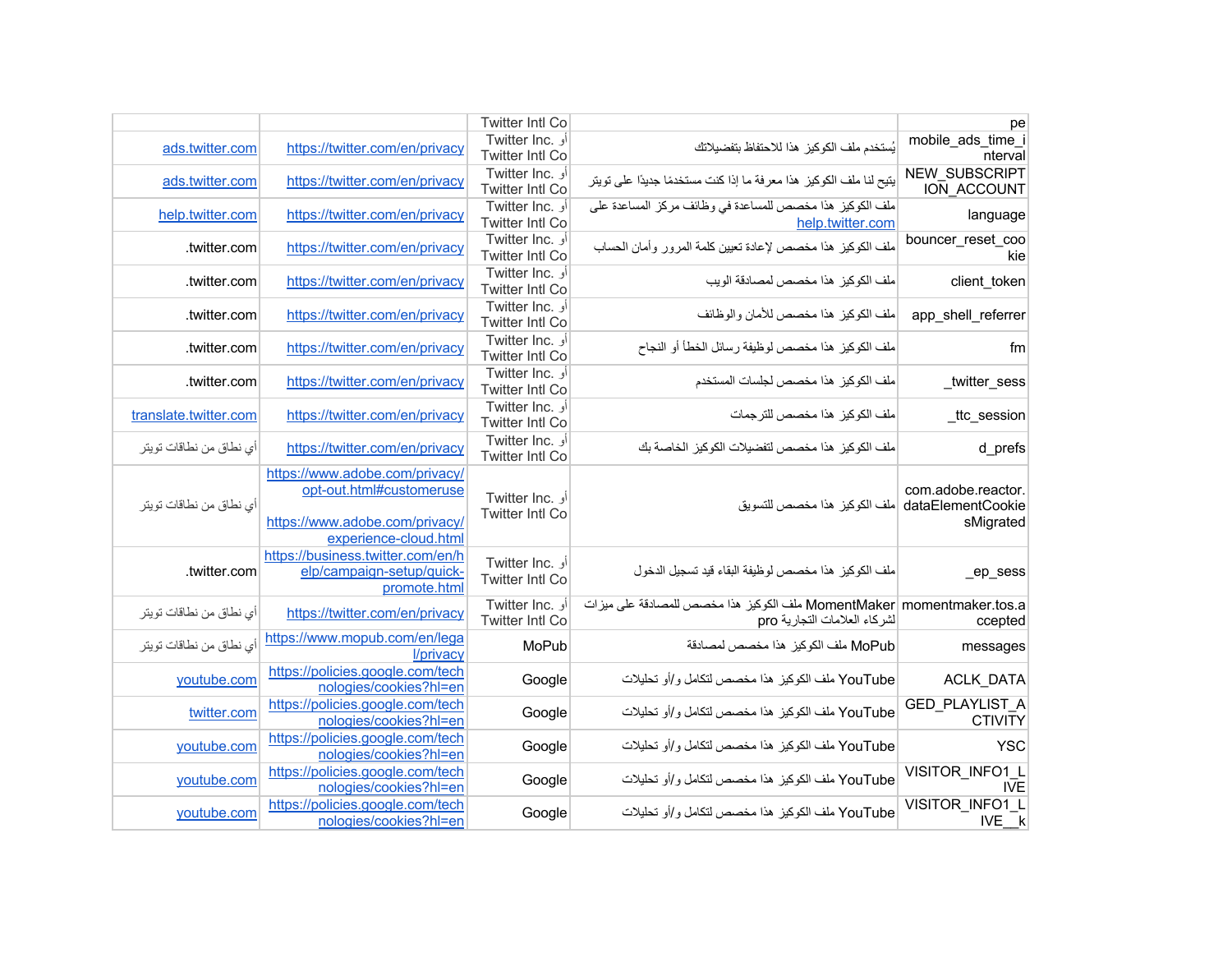| pe                                      |                                                                                                         | <b>Twitter Intl Co</b>                           |                                                                                                                       |                         |
|-----------------------------------------|---------------------------------------------------------------------------------------------------------|--------------------------------------------------|-----------------------------------------------------------------------------------------------------------------------|-------------------------|
| mobile_ads_time_i<br>nterval            | يُستخدم ملف الكوكيز. هذا للاحتفاظ بتفضيلاتك                                                             | أو .Twitter Inc<br><b>Twitter Intl Co</b>        | https://twitter.com/en/privacy                                                                                        | ads.twitter.com         |
| <b>NEW SUBSCRIPT</b><br>ION ACCOUNT     | يتيح لنا ملف الكوكيز  هذا معرفة ما إذا كنت مستخدمًا جديدًا على تويتر                                    | Twitter Inc. أو<br><b>Twitter Intl Co</b>        | https://twitter.com/en/privacy                                                                                        | ads.twitter.com         |
| language                                | ملف الكوكيز هذا مخصص للمساعدة في وظائف مركز المساعدة على<br>help.twitter.com                            | أو .Twitter Inc<br><b>Twitter Intl Co</b>        | https://twitter.com/en/privacy                                                                                        | help.twitter.com        |
| bouncer_reset_coo<br>kie                | ملف الكوكيز هذا مخصص لإعادة تعيين كلمة المرور وأمان الحساب                                              | أو .Twitter Inc<br><b>Twitter Intl Co</b>        | https://twitter.com/en/privacy                                                                                        | .twitter.com            |
| client token                            | ملف الكوكيز هذا مخصص لمصادقة الويب                                                                      | أو .Twitter Inc<br><b>Twitter Intl Co</b>        | https://twitter.com/en/privacy                                                                                        | .twitter.com            |
| app_shell_referrer                      | ملف الكوكيز هذا مخصص للأمان والوظائف                                                                    | Twitter Inc. أو<br><b>Twitter Intl Co</b>        | https://twitter.com/en/privacy                                                                                        | .twitter.com            |
| fm                                      | ملف الكوكيز هذا مخصص لوظيفة رسائل الخطأ أو النجاح                                                       | أو .Twitter Inc<br><b>Twitter Intl Co</b>        | https://twitter.com/en/privacy                                                                                        | .twitter.com            |
| _twitter_sess                           | ملف الكوكيز هذا مخصص لجلسات المستخدم                                                                    | أو .Twitter Inc<br>Twitter Intl Co               | https://twitter.com/en/privacy                                                                                        | .twitter.com            |
| _ttc_session                            | ملف الكوكيز هذا مخصص للترجمات                                                                           | أو .Twitter Inc<br><b>Twitter Intl Co</b>        | https://twitter.com/en/privacy                                                                                        | translate.twitter.com   |
| d_prefs                                 | ملف الكوكيز هذا مخصص لتفضيلات الكوكيز الخاصة بك                                                         | <b>Twitter Inc.</b> أو<br><b>Twitter Intl Co</b> | https://twitter.com/en/privacy                                                                                        | أي نطاق من نطاقات تويتر |
| com.adobe.reactor.<br>sMigrated         | dataElementCookie  ملف الكوكيز هذا مخصص للتسويق                                                         | Twitter Inc. أو<br><b>Twitter Intl Co</b>        | https://www.adobe.com/privacy/<br>opt-out.html#customeruse<br>https://www.adobe.com/privacy/<br>experience-cloud.html | أي نطاق من نطاقات تويتر |
| $ep$ _sess                              | ملف الكوكيز  هذا مخصص لوظيفة البقاء قيد تسجيل الدخول                                                    | أو .Twitter Inc<br><b>Twitter Intl Co</b>        | https://business.twitter.com/en/h<br>elp/campaign-setup/quick-<br>promote.html                                        | .twitter.com            |
| ccepted                                 | MomentMaker momentmaker.tos.a ملف الكوكيز  هذا مخصص للمصادقة على ميز ات<br>لشركاء العلامات التجارية pro | أو .Twitter Inc<br><b>Twitter Intl Co</b>        | https://twitter.com/en/privacy                                                                                        | أي نطاق من نطاقات تويتر |
| messages                                | MoPub ملف الكوكيز هذا مخصص لمصادقة                                                                      | MoPub                                            | https://www.mopub.com/en/lega<br>l/privacy                                                                            | أي نطاق من نطاقات تويتر |
| ACLK_DATA                               | YouTube ملف الكوكيز هذا مخصص لتكامل و/أو تحليلات                                                        | Google                                           | https://policies.google.com/tech<br>nologies/cookies?hl=en                                                            | youtube.com             |
| <b>GED PLAYLIST A</b><br><b>CTIVITY</b> | YouTube ملف الكوكيز هذا مخصص لتكامل و/أو تحليلات                                                        | Google                                           | https://policies.google.com/tech<br>nologies/cookies?hl=en                                                            | twitter.com             |
| <b>YSC</b>                              | YouTube ملف الكوكيز هذا مخصص لتكامل و/أو تحليلات                                                        | Google                                           | https://policies.google.com/tech<br>nologies/cookies?hl=en                                                            | youtube.com             |
| VISITOR_INFO1_L<br><b>IVE</b>           | YouTube ملف الكوكيز هذا مخصص لتكامل و/أو تحليلات                                                        | Google                                           | https://policies.google.com/tech<br>nologies/cookies?hl=en                                                            | youtube.com             |
| VISITOR INFO1 L<br>IVE k                | YouTube ملف الكوكيز هذا مخصص لتكامل و/أو تحليلات                                                        | Google                                           | https://policies.google.com/tech<br>nologies/cookies?hl=en                                                            | voutube.com             |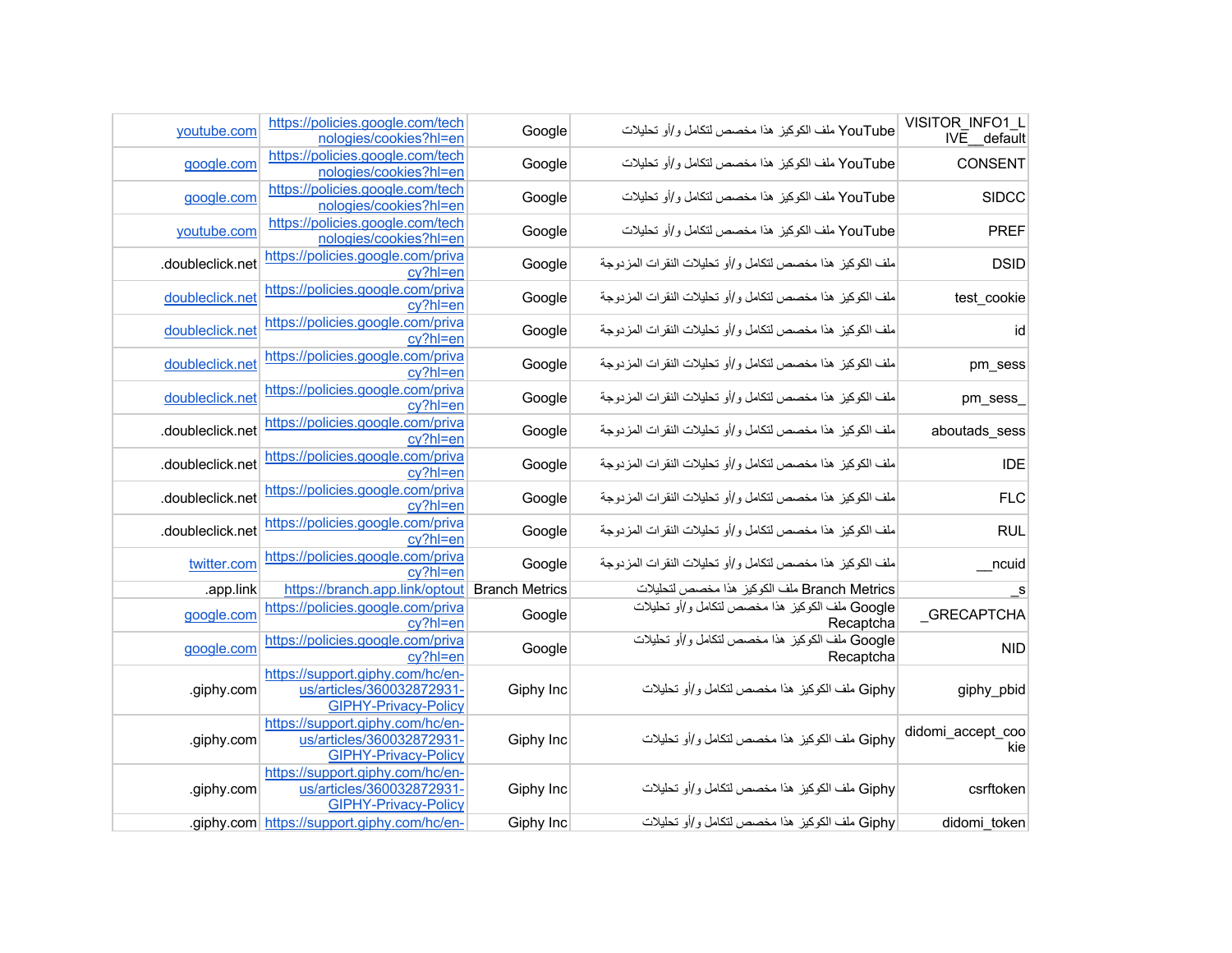| VISITOR INFO1 L<br>IVE default | YouTube ملف الكوكيز هذا مخصص لتكامل و/أو تحليلات             | Google                | https://policies.google.com/tech<br>nologies/cookies?hl=en                                   | youtube.com      |
|--------------------------------|--------------------------------------------------------------|-----------------------|----------------------------------------------------------------------------------------------|------------------|
| CONSENT                        | YouTube ملف الكوكيز هذا مخصص لتكامل و/أو تحليلات             | Google                | https://policies.google.com/tech<br>nologies/cookies?hl=en                                   | google.com       |
| <b>SIDCC</b>                   | YouTube ملف الكوكيز هذا مخصص لتكامل و/أو تحليلات             | Google                | https://policies.google.com/tech<br>nologies/cookies?hl=en                                   | google.com       |
| <b>PREF</b>                    | YouTube ملف الكوكيز هذا مخصص لتكامل و/أو تحليلات             | Google                | https://policies.google.com/tech<br>nologies/cookies?hl=en                                   | youtube.com      |
| <b>DSID</b>                    | ملف الكوكيز  هذا مخصص لتكامل و/أو تحليلات النقرات المزدوجة   | Google                | https://policies.google.com/priva<br>cy?hl=en                                                | .doubleclick.net |
| test_cookie                    | ملف الكوكيز  هذا مخصص لتكامل و/أو تحليلات النقرات المزدوجة   | Google                | https://policies.google.com/priva<br>cy?hl=en                                                | doubleclick.net  |
| id                             | ملف الكوكيز هذا مخصص لتكامل و/أو تحليلات النقرات المزدوجة    | Google                | https://policies.google.com/priva<br>cy?hl=en                                                | doubleclick.net  |
| pm_sess                        | ملف الكوكيز هذا مخصص لتكامل و/أو تحليلات النقرات المزدوجة    | Google                | https://policies.google.com/priva<br>cy?hl=en                                                | doubleclick.net  |
| $pm\_sess$                     | ملف الكوكيز هذا مخصص لتكامل و/أو تحليلات النقرات المزدوجة    | Google                | https://policies.google.com/priva<br>cy?hl=en                                                | doubleclick.net  |
| aboutads_sess                  | ملف الكوكيز  هذا مخصص لتكامل و/أو تحليلات النقر ات المز دوجة | Google                | https://policies.google.com/priva<br>cy?hl=en                                                | .doubleclick.net |
| <b>IDE</b>                     | ملف الكوكيز هذا مخصص لتكامل و/أو تحليلات النقرات المزدوجة    | Google                | https://policies.google.com/priva<br>cy?hl=en                                                | .doubleclick.net |
| <b>FLC</b>                     | ملف الكوكيز هذا مخصص لتكامل و/أو تحليلات النقرات المزدوجة    | Google                | https://policies.google.com/priva<br>cy?hl=en                                                | .doubleclick.net |
| <b>RUL</b>                     | ملف الكوكيز  هذا مخصص لتكامل و/أو تحليلات النقر ات المز دوجة | Google                | https://policies.google.com/priva<br>cy?hl=en                                                | .doubleclick.net |
| ncuid                          | ملف الكوكيز  هذا مخصص لتكامل و/أو تحليلات النقرات المزدوجة   | Google                | https://policies.google.com/priva<br>cy?hl=en                                                | twitter.com      |
| $\mathsf{S}$                   | Branch Metrics ملف الكوكيز هذا مخصص لتحليلات                 | <b>Branch Metrics</b> | https://branch.app.link/optout                                                               | .app.link        |
| _GRECAPTCHA                    | Google ملف الكوكيز هذا مخصص لتكامل و/أو تحليلات<br>Recaptcha | Google                | https://policies.google.com/priva<br>cy?hl=en                                                | google.com       |
| <b>NID</b>                     | Google ملف الكوكيز هذا مخصص لتكامل و/أو تحليلات<br>Recaptcha | Google                | https://policies.google.com/priva<br>cv?hl=en                                                | google.com       |
| giphy_pbid                     | Giphy ملف الكوكيز هذا مخصص لتكامل و/أو تحليلات               | Giphy Inc             | https://support.giphy.com/hc/en-<br>us/articles/360032872931-<br><b>GIPHY-Privacy-Policy</b> | .giphy.com       |
| didomi_accept_coo<br>kie       | Giphy ملف الكوكيز هذا مخصص لتكامل و/أو تحليلات               | Giphy Inc             | https://support.giphy.com/hc/en-<br>us/articles/360032872931-<br><b>GIPHY-Privacy-Policy</b> | .giphy.com       |
| csrftoken                      | Giphy ملف الكوكيز هذا مخصص لتكامل و/أو تحليلات               | Giphy Inc             | https://support.giphy.com/hc/en-<br>us/articles/360032872931-<br><b>GIPHY-Privacy-Policy</b> | .giphy.com       |
| didomi token                   | Giphy ملف الكوكيز هذا مخصص لتكامل و/أو تحليلات               | Giphy Inc             | .giphy.com https://support.giphy.com/hc/en-                                                  |                  |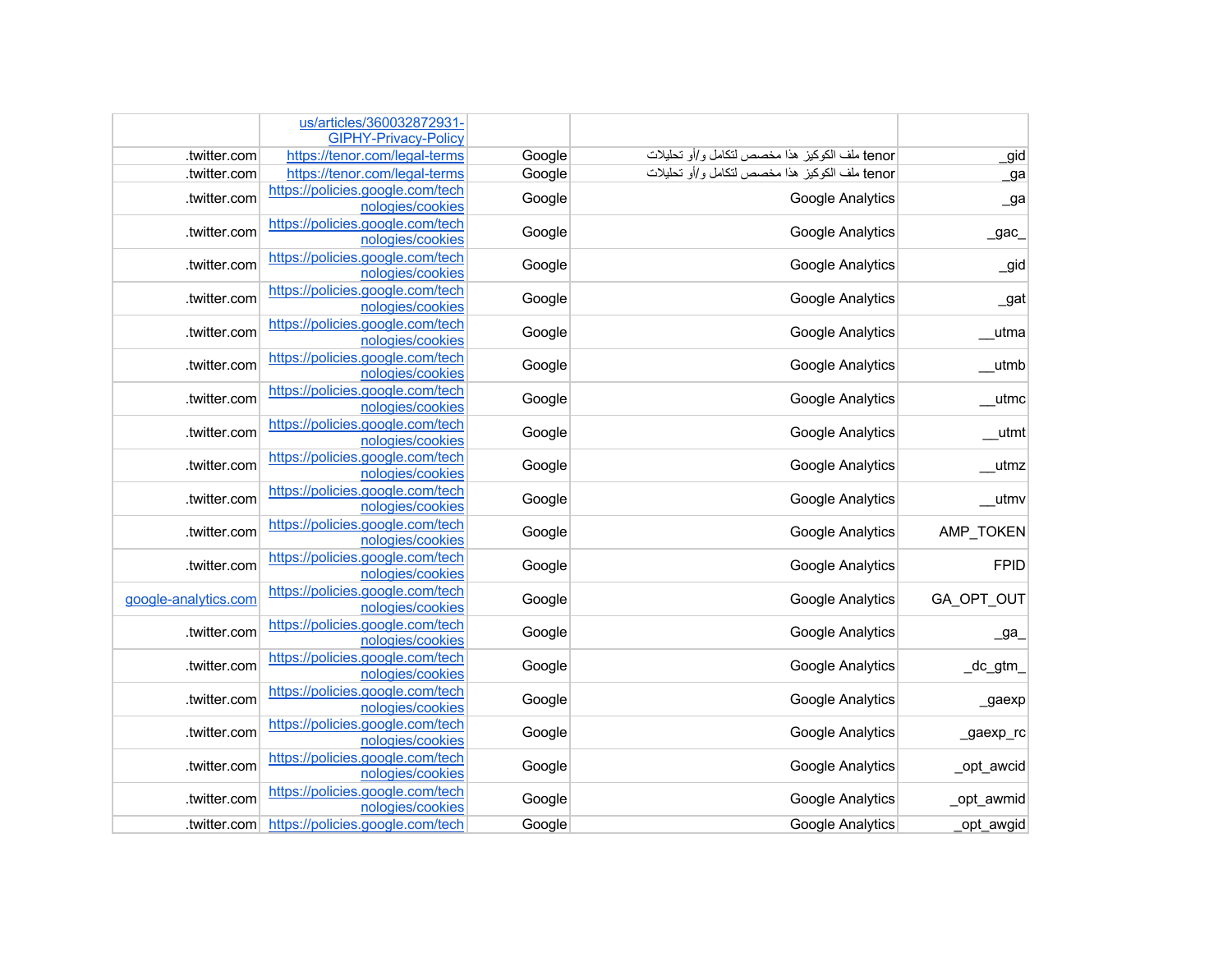|                      | us/articles/360032872931-                            |        |                                                |                   |
|----------------------|------------------------------------------------------|--------|------------------------------------------------|-------------------|
|                      | <b>GIPHY-Privacy-Policy</b>                          |        |                                                |                   |
| .twitter.com         | https://tenor.com/legal-terms                        | Google | tenor ملف الكوكيز هذا مخصص لتكامل و/أو تحليلات | _gid              |
| .twitter.com         | https://tenor.com/legal-terms                        | Google | tenor ملف الكوكيز هذا مخصص لتكامل و/أو تحليلات | _ga               |
| .twitter.com         | https://policies.google.com/tech<br>nologies/cookies | Google | <b>Google Analytics</b>                        | $\mathsf{a}$      |
| .twitter.com         | https://policies.google.com/tech<br>nologies/cookies | Google | Google Analytics                               | $\sqrt{a}$ gac    |
| .twitter.com         | https://policies.google.com/tech<br>nologies/cookies | Google | Google Analytics                               | $\_$ gid          |
| .twitter.com         | https://policies.google.com/tech<br>nologies/cookies | Google | Google Analytics                               | $\_gat$           |
| .twitter.com         | https://policies.google.com/tech<br>nologies/cookies | Google | Google Analytics                               | _utma             |
| .twitter.com         | https://policies.google.com/tech<br>nologies/cookies | Google | Google Analytics                               | __utmb            |
| .twitter.com         | https://policies.google.com/tech<br>nologies/cookies | Google | Google Analytics                               | _utmc             |
| .twitter.com         | https://policies.google.com/tech<br>nologies/cookies | Google | Google Analytics                               | $_{\text{$ }}utmt |
| .twitter.com         | https://policies.google.com/tech<br>nologies/cookies | Google | Google Analytics                               | _utmz             |
| .twitter.com         | https://policies.google.com/tech<br>nologies/cookies | Google | <b>Google Analytics</b>                        | _utmv             |
| .twitter.com         | https://policies.google.com/tech<br>nologies/cookies | Google | Google Analytics                               | AMP_TOKEN         |
| .twitter.com         | https://policies.google.com/tech<br>nologies/cookies | Google | <b>Google Analytics</b>                        | <b>FPID</b>       |
| google-analytics.com | https://policies.google.com/tech<br>nologies/cookies | Google | <b>Google Analytics</b>                        | GA_OPT_OUT        |
| .twitter.com         | https://policies.google.com/tech<br>nologies/cookies | Google | Google Analytics                               | $\mathsf{Q}a$     |
| .twitter.com         | https://policies.google.com/tech<br>nologies/cookies | Google | Google Analytics                               | _dc_gtm           |
| .twitter.com         | https://policies.google.com/tech<br>nologies/cookies | Google | Google Analytics                               | $_9a$ exp         |
| .twitter.com         | https://policies.google.com/tech<br>nologies/cookies | Google | <b>Google Analytics</b>                        | _gaexp_rc         |
| .twitter.com         | https://policies.google.com/tech<br>nologies/cookies | Google | Google Analytics                               | _opt_awcid        |
| .twitter.com         | https://policies.google.com/tech<br>nologies/cookies | Google | Google Analytics                               | _opt_awmid        |
| .twitter.com         | https://policies.google.com/tech                     | Google | <b>Google Analytics</b>                        | opt awgid         |